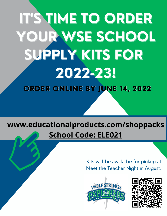# **IT'S TIME TO ORDER** YOUR WSE SCHOOL SUPPLY KITS FOR 2022-23! ORDER ONLINE BY JUNE 14, 2022

## www.educationalproducts.com/shoppacks **School Code: ELE021**

Kits will be availalbe for pickup at Meet the Teacher Night in August.



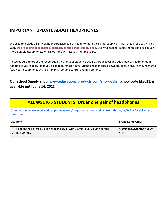#### **IMPORTANT UPDATE ABOUT HEADPHONES**

We used to include a lightweight, inexpensive pair of headphones in the school supply kits. But, they broke easily. This year, **[we are selling headphones separately in the School Supply Shop.](http://www.educationalproducts.com/shoppacks)** Our WSE teachers selected this pair as a much more durable headphones, which we hope will last you multiple years.

Please be sure to order the school supply kit for your student's 2022-23 grade level and add a pair of headphones in addition to your supply kit. If you'd like to purchase your student's headphones elsewhere, please ensure they're stereo (two year) headphones with 3.5mm plug, volume control and microphone.

**Our School Supply Shop, [www.educationalproducts.com/shoppacks,](http://www.educationalproducts.com/shoppacks) school code ELE021, is available until June 14, 2022.**

| <b>ALL WSE K-5 STUDENTS: Order one pair of headphones</b>                                                                   |                                                   |  |  |
|-----------------------------------------------------------------------------------------------------------------------------|---------------------------------------------------|--|--|
| Order kits online www.educationalproducts.com/shoppacks, School Code ELE021, through 6/14/22 for delivery to<br>the school. |                                                   |  |  |
| <b>Qty Item</b>                                                                                                             | <b>Brand Name Only?</b>                           |  |  |
| Headphones, Stereo 2-ear headband style, with 3.5mm plug, volume control,<br>microphone                                     | <i>*Purchase Separately in EPI</i><br><b>Kits</b> |  |  |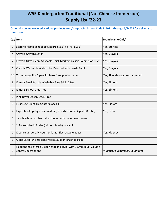#### **WSE Kindergarten Traditional (Not Chinese Immersion) Supply List '22-23**

|                | Qty Item                                                                                | <b>Brand Name Only?</b>          |
|----------------|-----------------------------------------------------------------------------------------|----------------------------------|
| 1              | Sterilite Plastic school box, approx. 8.5" x 5.75" x 2.5"                               | Yes, Sterilite                   |
| 4              | Crayola Crayons, 24 ct                                                                  | Yes, Crayola                     |
| $\overline{2}$ | Crayola Ultra Clean Washable Thick Markers Classic Colors 8 or 10 ct                    | Yes, Crayola                     |
| 1              | Crayola Washable Watercolor Paint set with brush, 8 color                               | Yes, Crayola                     |
| 24             | Ticonderoga No. 2 pencils, latex free, presharpened                                     | Yes, Ticonderoga presharpened    |
| 8              | Elmer's Small Purple Washable Glue Stick .21oz                                          | Yes, Elmer's                     |
| 2              | Elmer's School Glue, 4oz                                                                | Yes, Elmer's                     |
| 3              | Pink Bevel Eraser, Latex Free                                                           |                                  |
| 1              | Fiskars 5" Blunt Tip Scissors (ages 4+)                                                 | Yes, Fiskars                     |
| 2              | Expo chisel tip dry erase markers, assorted colors 4 pack (8 total)                     | Yes, Expo                        |
| 1              | 1-inch White hardback vinyl binder with paper insert cover                              |                                  |
| 1              | 2 Pocket plastic folder (without brads), any color                                      |                                  |
| 2              | Kleenex tissue, 144 count or larger flat rectagle boxes                                 | Yes, Kleenex                     |
| 3              | Clorox/Lysol Disinfectant Wipes, 30ct or larger package                                 |                                  |
| 1              | Headphones, Stereo 2-ear headband style, with 3.5mm plug, volume<br>control, microphone | *Purchase Separately in EPI Kits |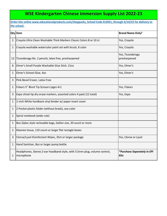#### **WSE Kindergarten Chinese Immersion Supply List 2022-23**

|              | Qty Item                                                                                | <b>Brand Name Only?</b>                           |
|--------------|-----------------------------------------------------------------------------------------|---------------------------------------------------|
| 2            | Crayola Ultra Clean Washable Thick Markers Classic Colors 8 or 10 ct                    | Yes, Crayola                                      |
| 1            | Crayola washable watercolor paint set with brush, 8 color                               | Yes, Crayola                                      |
| 12           | Ticonderoga No. 2 pencils, latex free, presharpened                                     | Yes, Ticonderoga<br>presharpened                  |
| 8            | Elmer's Small Purple Washable Glue Stick .21oz                                          | Yes, Elmer's                                      |
| 1            | Elmer's School Glue, 4oz                                                                | Yes, Elmer's                                      |
| 3            | Pink Bevel Eraser, Latex Free                                                           |                                                   |
| 1            | Fiskars 5" Blunt Tip Scissors (ages 4+)                                                 | Yes, Fiskars                                      |
| 3            | Expo chisel tip dry erase markers, assorted colors 4 pack (12 total)                    | Yes, Expo                                         |
| 1            | 1-inch White hardback vinyl binder w/ paper insert cover                                |                                                   |
| 1            | 2 Pocket plastic folder (without brads), any color                                      |                                                   |
| $\mathbf{1}$ | Spiral notebook (wide rule)                                                             |                                                   |
| 1            | Box Ziploc style reclosable bags, Gallon size, 20 count or more                         |                                                   |
| 2            | Kleenex tissue, 110 count or larger flat rectagle boxes                                 |                                                   |
| 3            | Clorox/Lysol Disinfectant Wipes, 35ct or larger package                                 | Yes, Clorox or Lysol                              |
| $\mathbf{1}$ | Hand Sanitizer, 80z or larger pump bottle                                               |                                                   |
| 1            | Headphones, Stereo 2-ear headband style, with 3.5mm plug, volume control,<br>microphone | <i>*Purchase Separately in EPI</i><br><b>Kits</b> |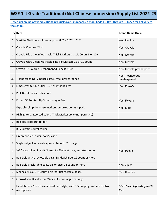#### **WSE 1st Grade Traditional (Not Chinese Immersion) Supply List 2022-23**

|    | Qty Item                                                                                | <b>Brand Name Only?</b>             |
|----|-----------------------------------------------------------------------------------------|-------------------------------------|
| 1  | Sterilite Plastic school box, approx. 8.5" x 5.75" x 2.5"                               | Yes, Sterilite                      |
| 3  | Crayola Crayons, 24 ct                                                                  | Yes, Crayola                        |
| 1  | Crayola Ultra Clean Washable Thick Markers Classic Colors 8 or 10 ct                    | Yes, Crayola                        |
| 1  | Crayola Ultra Clean Washable Fine Tip Markers 12 or 10 count                            | Yes, Crayola                        |
| 1  | Crayola 7" Colored Presharpened Pencils 24 ct                                           | Yes, Crayola presharpened           |
| 36 | Ticonderoga No. 2 pencils, latex free, presharpened                                     | Yes, Ticonderoga<br>presharpened    |
| 6  | Elmers White Glue Stick, 0.77 oz ("Giant size")                                         | Yes, Elmer's                        |
| 2  | Pink Bevel Eraser, Latex Free                                                           |                                     |
| 2  | Fiskars 5" Pointed Tip Scissors (Ages 4+)                                               | Yes, Fiskars                        |
| 1  | Expo chisel tip dry erase markers, assorted colors 4 pack                               | Yes, Expo                           |
| 4  | Highlighters, assorted colors, Thick Marker style (not pen style)                       |                                     |
| 1  | Red plastic pocket folder                                                               |                                     |
| 1  | Blue plastic pocket folder                                                              |                                     |
| 1  | Green pocket Folder, poly/plastic                                                       |                                     |
| 2  | Single subject wide rule spiral notebook, 70+ pages                                     |                                     |
| 1  | 3x3" Neon Lined Post-It Notes, 3 x 50 sheet pack, assorted colors                       | Yes, Post-It                        |
| 1  | Box Ziploc style reclosable bags, Sandwich size, 12 count or more                       |                                     |
| 1  | Box Ziploc reclosable bags, Gallon size, 12 count or more                               | Yes, Ziploc                         |
| 3  | Kleenex tissue, 144 count or larger flat rectagle boxes                                 | Yes, Kleenex                        |
| 1  | Clorox/Lysol Disinfectant Wipes, 35ct or larger package                                 |                                     |
| 1  | Headphones, Stereo 2-ear headband style, with 3.5mm plug, volume control,<br>microphone | *Purchase Separately in EPI<br>Kits |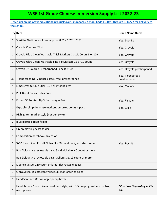#### **WSE 1st Grade Chinese Immersion Supply List 2022-23**

|    | <b>Qty</b> Item                                                                         | <b>Brand Name Only?</b>                    |
|----|-----------------------------------------------------------------------------------------|--------------------------------------------|
| 1  | Sterilite Plastic school box, approx. 8.5" x 5.75" x 2.5"                               | Yes, Sterilite                             |
| 2  | Crayola Crayons, 24 ct                                                                  | Yes, Crayola                               |
| 1  | Crayola Ultra Clean Washable Thick Markers Classic Colors 8 or 10 ct                    | Yes, Crayola                               |
| 1  | Crayola Ultra Clean Washable Fine Tip Markers 12 or 10 count                            | Yes, Crayola                               |
| 1  | Crayola 7" Colored Presharpened Pencils 24 ct                                           | Yes, Crayola presharpened                  |
| 36 | Ticonderoga No. 2 pencils, latex free, presharpened                                     | Yes, Ticonderoga<br>presharpened           |
| 4  | Elmers White Glue Stick, 0.77 oz ("Giant size")                                         | Yes, Elmer's                               |
| 2  | Pink Bevel Eraser, Latex Free                                                           |                                            |
| 2  | Fiskars 5" Pointed Tip Scissors (Ages 4+)                                               | Yes, Fiskars                               |
| 1  | Expo chisel tip dry erase markers, assorted colors 4 pack                               | Yes, Expo                                  |
| 1  | Highlighter, marker style (not pen style)                                               |                                            |
| 2  | Blue plastic pocket folder                                                              |                                            |
| 2  | Green plastic pocket folder                                                             |                                            |
| 1  | Composition notebook, any color                                                         |                                            |
| 1  | 3x3" Neon Lined Post-It Notes, 3 x 50 sheet pack, assorted colors                       | Yes, Post-It                               |
| 1  | Box Ziploc style reclosable bags, Sandwich size, 40 count or more                       |                                            |
|    | Box Ziploc style reclosable bags, Gallon size, 19 count or more                         |                                            |
| 2  | Kleenex tissue, 110 count or larger flat rectagle boxes                                 |                                            |
| 1  | Clorox/Lysol Disinfectant Wipes, 35ct or larger package                                 |                                            |
| 1  | Hand Sanitizer, 80z or larger pump bottle                                               |                                            |
| 1  | Headphones, Stereo 2-ear headband style, with 3.5mm plug, volume control,<br>microphone | *Purchase Separately in EPI<br><b>Kits</b> |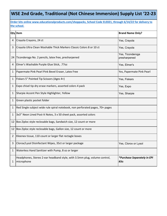#### **WSE 2nd Grade, Traditional (Not Chinese Immersion) Supply List '22-23**

|              | Qty Item                                                                                | <b>Brand Name Only?</b>                    |
|--------------|-----------------------------------------------------------------------------------------|--------------------------------------------|
| 4            | Crayola Crayons, 24 ct                                                                  | Yes, Crayola                               |
| 3            | Crayola Ultra Clean Washable Thick Markers Classic Colors 8 or 10 ct                    | Yes, Crayola                               |
| 24           | Ticonderoga No. 2 pencils, latex free, presharpened                                     | Yes, Ticonderoga<br>presharpened           |
| 4            | Elmer's Washable Purple Glue Stick, .77oz                                               | Yes, Elmer's                               |
| 1            | Papermate Pink Pearl Pink Bevel Eraser, Latex Free                                      | Yes, Papermate Pink Pearl                  |
| 1            | Fiskars 5" Pointed Tip Scissors (Ages 4+)                                               | Yes, Fiskars                               |
| 1            | Expo chisel tip dry erase markers, assorted colors 4 pack                               | Yes, Expo                                  |
| 1            | Sharpie Accent Pen Style Highlighter, Yellow                                            | Yes, Sharpie                               |
| 1            | Green plastic pocket folder                                                             |                                            |
| $\mathbf{1}$ | Red Single subject wide rule spiral notebook, non perforated pages, 70+ pages           |                                            |
| $\mathbf{1}$ | 3x3" Neon Lined Post-It Notes, 3 x 50 sheet pack, assorted colors                       |                                            |
|              | 12 Box Ziploc style reclosable bags, Sandwich size, 12 count or more                    |                                            |
| 12           | Box Ziploc style reclosable bags, Gallon size, 12 count or more                         |                                            |
| 2            | Kleenex tissue, 110 count or larger flat rectagle boxes                                 |                                            |
| 3            | Clorox/Lysol Disinfectant Wipes, 35ct or larger package                                 | Yes, Clorox or Lysol                       |
| 1            | Waterless Hand Sanitizer with Pump, 8 oz or larger                                      |                                            |
| 1            | Headphones, Stereo 2-ear headband style, with 3.5mm plug, volume control,<br>microphone | *Purchase Separately in EPI<br><b>Kits</b> |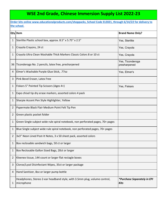### **WSE 2nd Grade, Chinese Immersion Supply List 2022-23**

|    | <b>Qty</b> Item                                                                         | <b>Brand Name Only?</b>             |
|----|-----------------------------------------------------------------------------------------|-------------------------------------|
| 1  | Sterilite Plastic school box, approx. 8.5" x 5.75" x 2.5"                               | Yes, Sterilite                      |
| 1  | Crayola Crayons, 24 ct                                                                  | Yes, Crayola                        |
| 1  | Crayola Ultra Clean Washable Thick Markers Classic Colors 8 or 10 ct                    | Yes, Crayola                        |
| 36 | Ticonderoga No. 2 pencils, latex free, presharpened                                     | Yes, Ticonderoga<br>presharpened    |
| 4  | Elmer's Washable Purple Glue Stick, .77oz                                               | Yes, Elmer's                        |
| 3  | Pink Bevel Eraser, Latex Free                                                           |                                     |
| 1  | Fiskars 5" Pointed Tip Scissors (Ages 4+)                                               | Yes, Fiskars                        |
| 1  | Expo chisel tip dry erase markers, assorted colors 4 pack                               |                                     |
| 1  | Sharpie Accent Pen Style Highlighter, Yellow                                            |                                     |
| 2  | Papermate Black Flair Medium Point Felt Tip Pen                                         |                                     |
| 2  | Green plastic pocket folder                                                             |                                     |
| 1  | Green Single subject wide rule spiral notebook, non perforated pages, 70+ pages         |                                     |
| 1  | Blue Single subject wide rule spiral notebook, non perforated pages, 70+ pages          |                                     |
| 2  | 3x3" Neon Lined Post-It Notes, 3 x 50 sheet pack, assorted colors                       |                                     |
| 1  | Box reclosable sandwich bags, 50 ct or larger                                           |                                     |
| 1  | Box Reclosable Gallon Sized Bags, 20ct or larger                                        |                                     |
| 2  | Kleenex tissue, 144 count or larger flat rectagle boxes                                 |                                     |
| 3  | Clorox/Lysol Disinfectant Wipes, 35ct or larger package                                 |                                     |
| 4  | Hand Sanitizer, 80z or larger pump bottle                                               |                                     |
| 1  | Headphones, Stereo 2-ear headband style, with 3.5mm plug, volume control,<br>microphone | *Purchase Separately in EPI<br>Kits |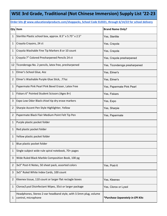#### **WSE 3rd Grade, Traditional (Not Chinese Immersion) Supply List '22-23**

**Order kits @ www.educationalproducts.com/shoppacks, School Code ELE021, through 6/14/22 for school delivery**

|                | Qty Item                                                                                | <b>Brand Name Only?</b>          |
|----------------|-----------------------------------------------------------------------------------------|----------------------------------|
| 1              | Sterilite Plastic school box, approx. 8.5" x 5.75" x 2.5"                               | Yes, Sterilite                   |
| 1              | Crayola Crayons, 24 ct                                                                  | Yes, Crayola                     |
| 1              | Crayola Washable Fine Tip Markers 8 or 10 count                                         | Yes, Crayola                     |
| 1              | Crayola 7" Colored Presharpened Pencils 24 ct                                           | Yes, Crayola presharpened        |
| 12             | Ticonderoga No. 2 pencils, latex free, presharpened                                     | Yes, Ticonderoga presharpened    |
| 1              | Elmer's School Glue, 4oz                                                                | Yes, Elmer's                     |
| 2              | Elmer's Washable Purple Glue Stick, .77oz                                               | Yes, Elmer's                     |
| 1              | Papermate Pink Pearl Pink Bevel Eraser, Latex Free                                      | Yes, Papermate Pink Pearl        |
| 1              | Fiskars 6" Pointed Student Scissors (Ages 8+)                                           | Yes, Fiskars                     |
| 3              | Expo Low Odor Black chisel tip dry erase markers                                        | Yes, Expo                        |
| 2              | Sharpie Accent Pen Style Highlighter, Yellow                                            | Yes, Sharpie                     |
| $\overline{2}$ | Papermate Black Flair Medium Point Felt Tip Pen                                         | Yes, Papermate                   |
| 1              | Purple plastic pocket folder                                                            |                                  |
| 1              | Red plastic pocket folder                                                               |                                  |
| 1              | Yellow plastic pocket folder                                                            |                                  |
| 1              | Blue plastic pocket folder                                                              |                                  |
| 1              | Single subject wide rule spiral notebook, 70+ pages                                     |                                  |
| 3              | Wide Ruled Black Marble Composition Book, 100 pg                                        |                                  |
| 2              | 3x3" Post-It Notes, 50 sheet pack, assorted colors                                      | Yes, Post-It                     |
| 3              | 3x5" Ruled White Index Cards, 100 count                                                 |                                  |
| 2              | Kleenex tissue, 110 count or larger flat rectagle boxes                                 | Yes, Kleenex                     |
| 1              | Clorox/Lysol Disinfectant Wipes, 35ct or larger package                                 | Yes, Clorox or Lysol             |
| 1              | Headphones, Stereo 2-ear headband style, with 3.5mm plug, volume<br>control, microphone | *Purchase Separately in EPI Kits |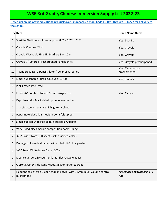#### **WSE 3rd Grade, Chinese Immersion Supply List 2022-23**

|    | <b>Qty</b> Item                                                                         | <b>Brand Name Only?</b>                    |
|----|-----------------------------------------------------------------------------------------|--------------------------------------------|
| 1  | Sterilite Plastic school box, approx. 8.5" x 5.75" x 2.5"                               | Yes, Sterilite                             |
| 1  | Crayola Crayons, 24 ct                                                                  | Yes, Crayola                               |
| 1  | Crayola Washable Fine Tip Markers 8 or 10 ct                                            | Yes, Crayola                               |
| 1  | Crayola 7" Colored Presharpened Pencils 24 ct                                           | Yes, Crayola presharpened                  |
| 12 | Ticonderoga No. 2 pencils, latex free, presharpened                                     | Yes, Ticonderoga<br>presharpened           |
| 4  | Elmer's Washable Purple Glue Stick .77 oz                                               | Yes, Elmer's                               |
| 1  | Pink Eraser, latex free                                                                 |                                            |
| 1  | Fiskars 6" Pointed Student Scissors (Ages 8+)                                           | Yes, Fiskars                               |
| 4  | Expo Low odor Black chisel tip dry erase markers                                        |                                            |
| 2  | Sharpie accent pen style highlighter, yellow                                            |                                            |
| 2  | Papermate black flair medium point felt tip pen                                         |                                            |
| 4  | Single subject wide rule spiral notebook 70 pages                                       |                                            |
| 2  | Wide ruled black marble composition book 100 pg                                         |                                            |
| 2  | 3x3" Post-It Notes, 50 sheet pack, assorted colors                                      |                                            |
| 1  | Package of loose leaf paper, wide ruled, 120 ct or greater                              |                                            |
| 1  | 3x5" Ruled White Index Cards, 100 ct                                                    |                                            |
| 2  | Kleenex tissue, 110 count or larger flat rectagle boxes                                 |                                            |
| 2  | Clorox/Lysol Disinfectant Wipes, 35ct or larger package                                 |                                            |
| 1  | Headphones, Stereo 2-ear headband style, with 3.5mm plug, volume control,<br>microphone | *Purchase Separately in EPI<br><b>Kits</b> |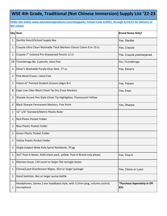#### **WSE 4th Grade, Traditional (Not Chinese Immersion) Supply List '22-23**

|                | Qty Item                                                                                | <b>Brand Name Only?</b>                    |
|----------------|-----------------------------------------------------------------------------------------|--------------------------------------------|
| 1              | Sterlite Pencil/School Supply Box                                                       | Yes, Sterilite                             |
| 1              | Crayola Ultra Clean Washable Thick Markers Classic Colors 8 or 10 ct                    | Yes, Crayola                               |
| 1              | Crayola 7" Colored Pre-Sharpened Pencils 12 ct                                          | Yes, Crayola presharpened                  |
| 24             | Ticonderoga No. 2 pencils, latex free                                                   | Yes, Ticonderoga                           |
| 4              | Elmer's Washable Purple Glue Stick .77 oz                                               | Yes, Elmer's                               |
| 2              | Pink Bevel Eraser, Latex Free                                                           |                                            |
| 1              | Fiskars 6" Pointed Student Scissors (Ages 8+)                                           | Yes, Fiskars                               |
| 8              | Expo Low Odor Black Chisel Tip Dry Erase Markers                                        | Yes, Expo                                  |
| $\overline{2}$ | Sharpie Accent Pen Style Chisel Tip Highlighter, Fluorescent Yellow                     |                                            |
| 2              | Black Sharpie Permanent Markers, Fine Point                                             | Yes, Sharpie                               |
| 1              | 12" 1/6" Standard/Metric Plastic Ruler                                                  |                                            |
| 1              | <b>Red Plastic Pocket Folder</b>                                                        |                                            |
| 1              | <b>Blue Plastic Pocket Folder</b>                                                       |                                            |
| 1              | Green Plastic Pocket Folder                                                             |                                            |
| 1              | <b>Yellow Plastic Pocket Folder</b>                                                     |                                            |
| 5              | Single Subject Wide Rule Spiral Notebook, 70 pg                                         |                                            |
| 1              | 3x3" Post-It Notes, 4x50 sheet pack, yellow. Post-It Brand only please                  | Yes, Post-It                               |
| 1              | Kleenex tissue, 110 count or larger flat rectagle boxes                                 |                                            |
| 1              | Clorox/Lysol Disinfectant Wipes, 35ct or larger package                                 | Yes, Clorox or Lysol                       |
| 1              | Hand Sanitizer, 80z or larger pump bottle                                               |                                            |
| 1              | Headphones, Stereo 2-ear headband style, with 3.5mm plug, volume control,<br>microphone | *Purchase Separately in EPI<br><b>Kits</b> |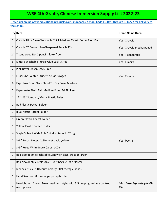#### **WSE 4th Grade, Chinese Immersion Supply List 2022-23**

|    | Qty Item                                                                                | <b>Brand Name Only?</b>                    |
|----|-----------------------------------------------------------------------------------------|--------------------------------------------|
| 1  | Crayola Ultra Clean Washable Thick Markers Classic Colors 8 or 10 ct                    | Yes, Crayola                               |
| 1  | Crayola 7" Colored Pre-Sharpened Pencils 12 ct                                          | Yes, Crayola presharpened                  |
| 24 | Ticonderoga No. 2 pencils, latex free                                                   | Yes, Ticonderoga                           |
| 6  | Elmer's Washable Purple Glue Stick .77 oz                                               | Yes, Elmer's                               |
| 2  | Pink Bevel Eraser, Latex Free                                                           |                                            |
| 1  | Fiskars 6" Pointed Student Scissors (Ages 8+)                                           | Yes, Fiskars                               |
| 8  | Expo Low Odor Black Chisel Tip Dry Erase Markers                                        |                                            |
| 2  | Papermate Black Flair Medium Point Fel Tip Pen                                          |                                            |
| 1  | 12" 1/6" Standard/Metric Plastic Ruler                                                  |                                            |
| 1  | <b>Red Plastic Pocket Folder</b>                                                        |                                            |
| 1  | <b>Blue Plastic Pocket Folder</b>                                                       |                                            |
| 1  | Green Plastic Pocket Folder                                                             |                                            |
| 1  | <b>Yellow Plastic Pocket Folder</b>                                                     |                                            |
| 4  | Single Subject Wide Rule Spiral Notebook, 70 pg                                         |                                            |
| 2  | 3x3" Post-It Notes, 4x50 sheet pack, yellow                                             | Yes, Post-It                               |
| 1  | 3x5" Ruled White Index Cards, 100 ct                                                    |                                            |
| 1  | Box Zipoloc style reclosable Sandwich bags, 50 ct or larger                             |                                            |
| 1  | Box Zipoloc style reclosable Quart bags, 25 ct or larger                                |                                            |
| 1  | Kleenex tissue, 110 count or larger flat rectagle boxes                                 |                                            |
| 1  | Hand Sanitizer, 80z or larger pump bottle                                               |                                            |
| 1  | Headphones, Stereo 2-ear headband style, with 3.5mm plug, volume control,<br>microphone | *Purchase Separately in EPI<br><b>Kits</b> |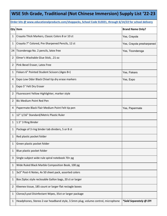#### **WSE 5th Grade, Traditional (Not Chinese Immersion) Supply List '22-23**

#### **Order kits @ www.educationalproducts.com/shoppacks, School Code ELE021, through 6/14/22 for school delivery**

|    | Qty Item                                                                        | <b>Brand Name Only?</b>   |
|----|---------------------------------------------------------------------------------|---------------------------|
| 1  | Crayola Thick Markers, Classic Colors 8 or 10 ct                                | Yes, Crayola              |
| 1  | Crayola 7" Colored, Pre-Sharpened Pencils, 12 ct                                | Yes, Crayola presharpened |
| 24 | Ticonderoga No. 2 pencils, latex free                                           | Yes, Ticonderoga          |
| 2  | Elmer's Washable Glue Stick, .21 oz                                             |                           |
| 2  | Pink Bevel Eraser, Latex Free                                                   |                           |
| 1  | Fiskars 6" Pointed Student Scissors (Ages 8+)                                   | Yes, Fiskars              |
| 4  | Expo Low Odor Black Chisel tip dry erase markers                                | Yes, Expo                 |
| 1  | Expo 5" Felt Dry Eraser                                                         |                           |
| 2  | Fluorescent Yellow Highlighter, marker style                                    |                           |
| 2  | <b>Bic Medium Point Red Pen</b>                                                 |                           |
| 4  | Papermate Black Flair Medium Point Felt tip pen                                 | Yes, Papermate            |
| 1  | 12" 1/16" Standard/Metric Plastic Ruler                                         |                           |
| 1  | 1.5" 3 Ring Binder                                                              |                           |
| 1  | Package of 3 ring binder tab dividers, 5 or 8 ct                                |                           |
| 1  | Red plastic pocket folder                                                       |                           |
| 1  | Green plastic pocket folder                                                     |                           |
| 1  | Blue plastic pocket folder                                                      |                           |
| 3  | Single subject wide rule spiral notebook 70+ pg                                 |                           |
| 1  | Wide Ruled Black Marble Composition Book, 100 pg                                |                           |
| 1  | 3x3" Post-It Notes, 4x 50 sheet pack, assorted colors                           |                           |
| 1  | Box Ziploc style reclosable Gallon bags, 20 ct or larger                        |                           |
| 2  | Kleenex tissue, 185 count or larger flat rectagle boxes                         |                           |
| 1  | Clorox/Lysol Disinfectant Wipes, 35ct or larger package                         |                           |
| 1  | Headphones, Stereo 2-ear headband style, 3.5mm plug, volume control, microphone | *Sold Separately @ EPI    |